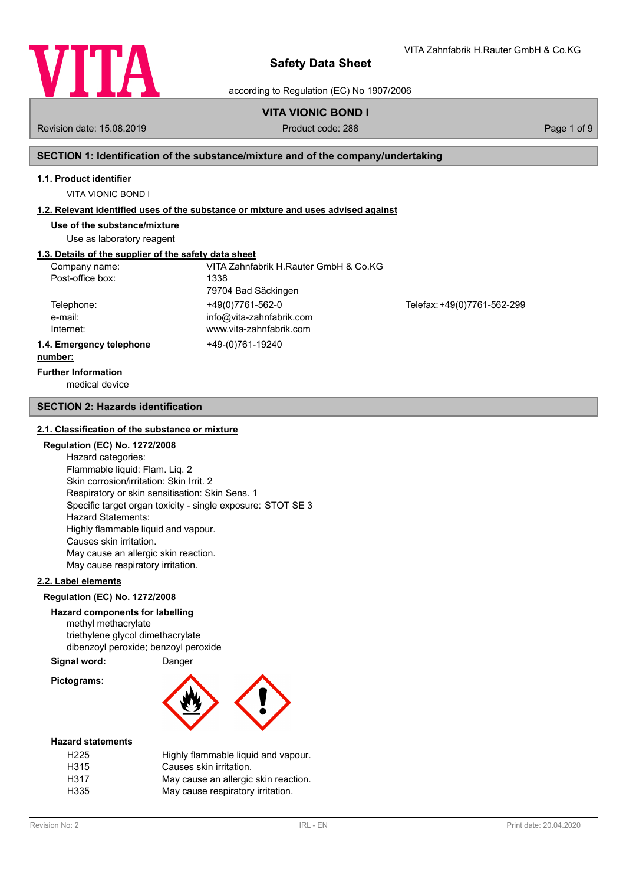

VITA Zahnfabrik H.Rauter GmbH & Co.KG

according to Regulation (EC) No 1907/2006

## **VITA VIONIC BOND I**

Revision date: 15.08.2019 **Product code: 288** Page 1 of 9

## **SECTION 1: Identification of the substance/mixture and of the company/undertaking**

### **1.1. Product identifier**

VITA VIONIC BOND I

#### **1.2. Relevant identified uses of the substance or mixture and uses advised against**

**Use of the substance/mixture**

Use as laboratory reagent

## **1.3. Details of the supplier of the safety data sheet**

| Company name:            | VITA Zahnfabrik H.Rauter GmbH & Co.KG |                             |
|--------------------------|---------------------------------------|-----------------------------|
| Post-office box:         | 1338                                  |                             |
|                          | 79704 Bad Säckingen                   |                             |
| Telephone:               | +49(0)7761-562-0                      | Telefax: +49(0)7761-562-299 |
| e-mail:                  | info@vita-zahnfabrik.com              |                             |
| Internet:                | www.vita-zahnfabrik.com               |                             |
| 1.4. Emergency telephone | +49-(0)761-19240                      |                             |
| number:                  |                                       |                             |

## **Further Information**

medical device

#### **SECTION 2: Hazards identification**

#### **2.1. Classification of the substance or mixture**

## **Regulation (EC) No. 1272/2008**

Hazard categories: Flammable liquid: Flam. Liq. 2 Skin corrosion/irritation: Skin Irrit. 2 Respiratory or skin sensitisation: Skin Sens. 1 Specific target organ toxicity - single exposure: STOT SE 3 Hazard Statements: Highly flammable liquid and vapour. Causes skin irritation. May cause an allergic skin reaction. May cause respiratory irritation.

#### **2.2. Label elements**

#### **Regulation (EC) No. 1272/2008**

### **Hazard components for labelling**

methyl methacrylate triethylene glycol dimethacrylate dibenzoyl peroxide; benzoyl peroxide

### **Signal word:** Danger

**Pictograms:**



#### **Hazard statements**

| H <sub>225</sub> | Highly flammable liquid and vapour.  |
|------------------|--------------------------------------|
| H315             | Causes skin irritation.              |
| H317             | May cause an allergic skin reaction. |
| H335             | May cause respiratory irritation.    |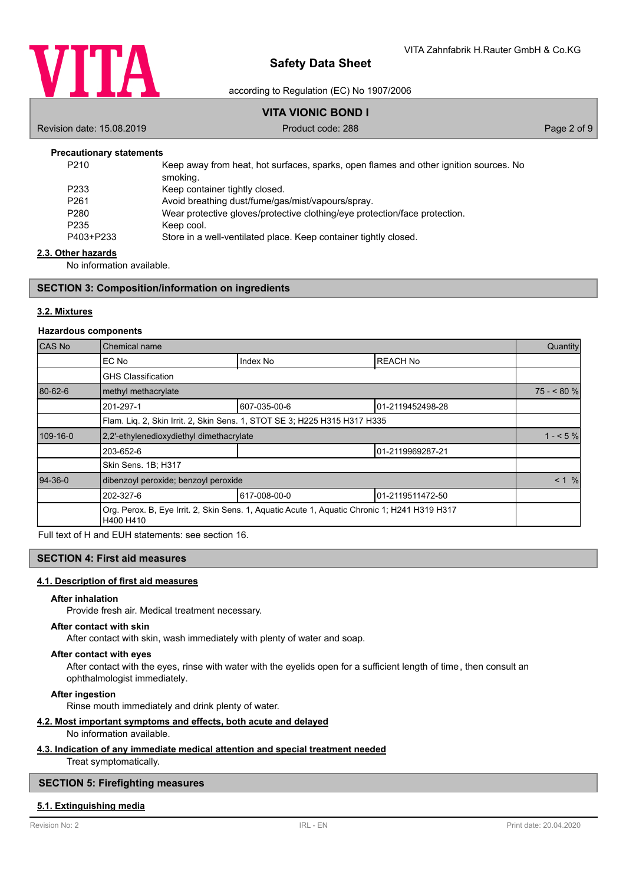

according to Regulation (EC) No 1907/2006

## **VITA VIONIC BOND I**

Revision date: 15.08.2019 **Product code: 288** Page 2 of 9

#### **Precautionary statements**

| P <sub>210</sub> | Keep away from heat, hot surfaces, sparks, open flames and other ignition sources. No<br>smoking. |
|------------------|---------------------------------------------------------------------------------------------------|
| P <sub>233</sub> | Keep container tightly closed.                                                                    |
| P <sub>261</sub> | Avoid breathing dust/fume/gas/mist/vapours/spray.                                                 |
| P <sub>280</sub> | Wear protective gloves/protective clothing/eye protection/face protection.                        |
| P <sub>235</sub> | Keep cool.                                                                                        |
| P403+P233        | Store in a well-ventilated place. Keep container tightly closed.                                  |
|                  |                                                                                                   |

#### **2.3. Other hazards**

No information available.

#### **SECTION 3: Composition/information on ingredients**

### **3.2. Mixtures**

#### **Hazardous components**

| CAS No    | Chemical name                                                             |                                                                                               |                  | Quantity   |
|-----------|---------------------------------------------------------------------------|-----------------------------------------------------------------------------------------------|------------------|------------|
|           | EC No                                                                     | Index No                                                                                      | <b>REACH No</b>  |            |
|           | <b>GHS Classification</b>                                                 |                                                                                               |                  |            |
| 80-62-6   | methyl methacrylate                                                       |                                                                                               |                  | $75 - 80%$ |
|           | 201-297-1                                                                 | 607-035-00-6                                                                                  | 01-2119452498-28 |            |
|           | Flam. Liq. 2, Skin Irrit. 2, Skin Sens. 1, STOT SE 3; H225 H315 H317 H335 |                                                                                               |                  |            |
| 109-16-0  | 2.2'-ethylenedioxydiethyl dimethacrylate                                  |                                                                                               | $1 - 5\%$        |            |
|           | 203-652-6                                                                 |                                                                                               | 01-2119969287-21 |            |
|           | Skin Sens. 1B; H317                                                       |                                                                                               |                  |            |
| $94-36-0$ | dibenzoyl peroxide; benzoyl peroxide                                      |                                                                                               |                  | < 1 %      |
|           | 202-327-6                                                                 | 617-008-00-0                                                                                  | 01-2119511472-50 |            |
|           | H400 H410                                                                 | Org. Perox. B, Eye Irrit. 2, Skin Sens. 1, Aquatic Acute 1, Aquatic Chronic 1; H241 H319 H317 |                  |            |

Full text of H and EUH statements: see section 16.

## **SECTION 4: First aid measures**

#### **4.1. Description of first aid measures**

#### **After inhalation**

Provide fresh air. Medical treatment necessary.

#### **After contact with skin**

After contact with skin, wash immediately with plenty of water and soap.

### **After contact with eyes**

After contact with the eyes, rinse with water with the eyelids open for a sufficient length of time, then consult an ophthalmologist immediately.

**After ingestion**

Rinse mouth immediately and drink plenty of water.

## **4.2. Most important symptoms and effects, both acute and delayed**

## No information available.

#### **4.3. Indication of any immediate medical attention and special treatment needed**

Treat symptomatically.

### **SECTION 5: Firefighting measures**

#### **5.1. Extinguishing media**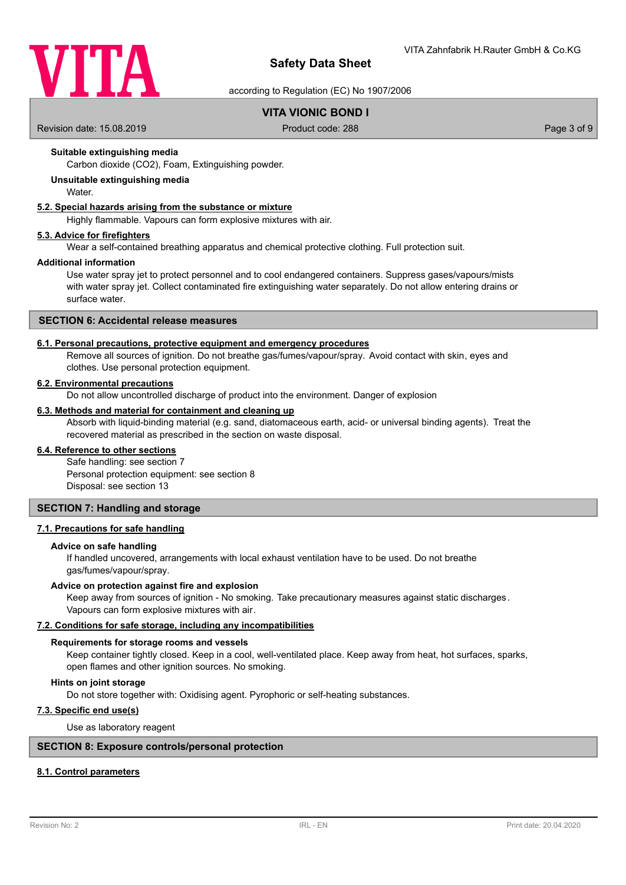

according to Regulation (EC) No 1907/2006

## **VITA VIONIC BOND I**

Revision date: 15.08.2019 **Product code: 288** Page 3 of 9

## **Suitable extinguishing media**

Carbon dioxide (CO2), Foam, Extinguishing powder.

### **Unsuitable extinguishing media**

**Water** 

#### **5.2. Special hazards arising from the substance or mixture**

Highly flammable. Vapours can form explosive mixtures with air.

#### **5.3. Advice for firefighters**

Wear a self-contained breathing apparatus and chemical protective clothing. Full protection suit.

#### **Additional information**

Use water spray jet to protect personnel and to cool endangered containers. Suppress gases/vapours/mists with water spray jet. Collect contaminated fire extinguishing water separately. Do not allow entering drains or surface water.

## **SECTION 6: Accidental release measures**

#### **6.1. Personal precautions, protective equipment and emergency procedures**

Remove all sources of ignition. Do not breathe gas/fumes/vapour/spray. Avoid contact with skin, eyes and clothes. Use personal protection equipment.

#### **6.2. Environmental precautions**

Do not allow uncontrolled discharge of product into the environment. Danger of explosion

#### **6.3. Methods and material for containment and cleaning up**

Absorb with liquid-binding material (e.g. sand, diatomaceous earth, acid- or universal binding agents). Treat the recovered material as prescribed in the section on waste disposal.

### **6.4. Reference to other sections**

Safe handling: see section 7 Personal protection equipment: see section 8 Disposal: see section 13

#### **SECTION 7: Handling and storage**

### **7.1. Precautions for safe handling**

#### **Advice on safe handling**

If handled uncovered, arrangements with local exhaust ventilation have to be used. Do not breathe gas/fumes/vapour/spray.

#### **Advice on protection against fire and explosion**

Keep away from sources of ignition - No smoking. Take precautionary measures against static discharges. Vapours can form explosive mixtures with air.

#### **7.2. Conditions for safe storage, including any incompatibilities**

#### **Requirements for storage rooms and vessels**

Keep container tightly closed. Keep in a cool, well-ventilated place. Keep away from heat, hot surfaces, sparks, open flames and other ignition sources. No smoking.

#### **Hints on joint storage**

Do not store together with: Oxidising agent. Pyrophoric or self-heating substances.

### **7.3. Specific end use(s)**

Use as laboratory reagent

#### **SECTION 8: Exposure controls/personal protection**

## **8.1. Control parameters**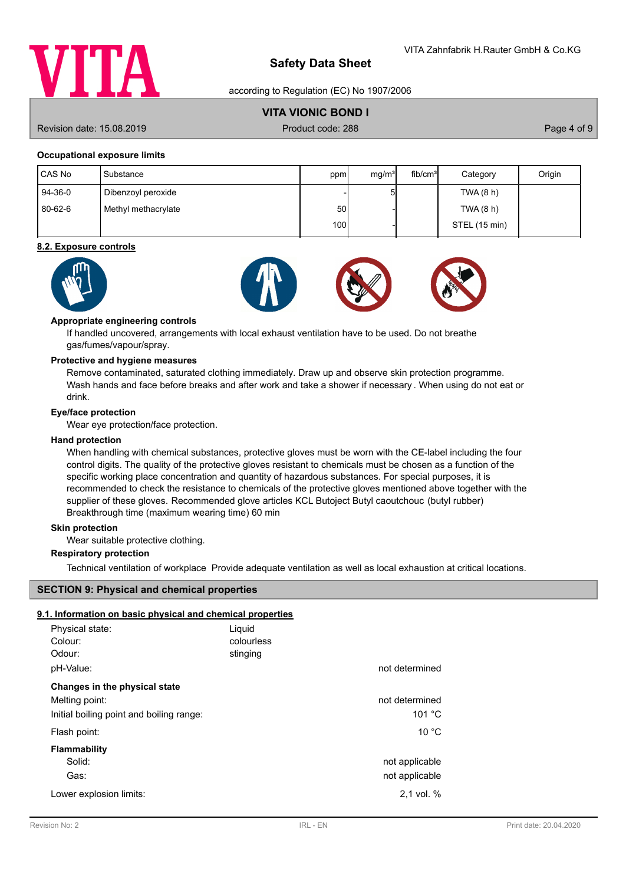

according to Regulation (EC) No 1907/2006

## **VITA VIONIC BOND I**

Revision date: 15.08.2019 **Product code: 288** Page 4 of 9

### **Occupational exposure limits**

| CAS No  | l Substance         | ppm   | mg/m <sup>3</sup> | fib/cm <sup>3</sup> | Category      | Origin |
|---------|---------------------|-------|-------------------|---------------------|---------------|--------|
| 94-36-0 | Dibenzoyl peroxide  |       |                   |                     | TWA (8 h)     |        |
| 80-62-6 | Methyl methacrylate | 50I   |                   |                     | TWA(8 h)      |        |
|         |                     | 100 l |                   |                     | STEL (15 min) |        |

#### **8.2. Exposure controls**



#### **Appropriate engineering controls**

If handled uncovered, arrangements with local exhaust ventilation have to be used. Do not breathe gas/fumes/vapour/spray.

## **Protective and hygiene measures**

Remove contaminated, saturated clothing immediately. Draw up and observe skin protection programme. Wash hands and face before breaks and after work and take a shower if necessary . When using do not eat or drink.

#### **Eye/face protection**

Wear eye protection/face protection.

#### **Hand protection**

When handling with chemical substances, protective gloves must be worn with the CE-label including the four control digits. The quality of the protective gloves resistant to chemicals must be chosen as a function of the specific working place concentration and quantity of hazardous substances. For special purposes, it is recommended to check the resistance to chemicals of the protective gloves mentioned above together with the supplier of these gloves. Recommended glove articles KCL Butoject Butyl caoutchouc (butyl rubber) Breakthrough time (maximum wearing time) 60 min

### **Skin protection**

Wear suitable protective clothing.

## **Respiratory protection**

Technical ventilation of workplace Provide adequate ventilation as well as local exhaustion at critical locations.

### **SECTION 9: Physical and chemical properties**

### **9.1. Information on basic physical and chemical properties**

| Physical state:<br>Colour:<br>Odour:<br>pH-Value: | Liquid<br>colourless<br>stinging | not determined                   |
|---------------------------------------------------|----------------------------------|----------------------------------|
| Changes in the physical state                     |                                  |                                  |
| Melting point:                                    |                                  | not determined                   |
| Initial boiling point and boiling range:          |                                  | 101 $°C$                         |
| Flash point:                                      |                                  | $10^{\circ}$ C                   |
| Flammability<br>Solid:<br>Gas:                    |                                  | not applicable<br>not applicable |
| Lower explosion limits:                           |                                  | $2.1$ vol. $%$                   |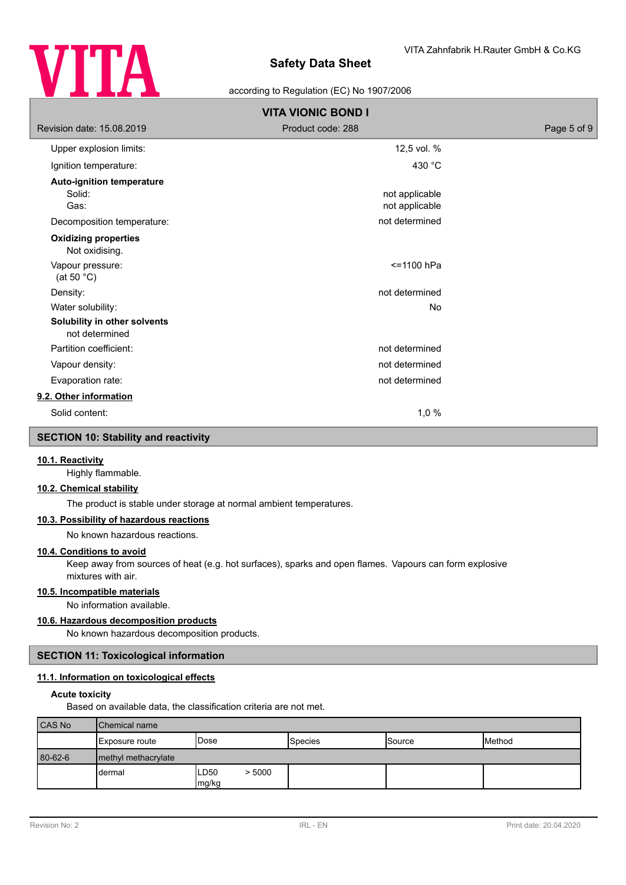

### according to Regulation (EC) No 1907/2006

| <b>VITA VIONIC BOND I</b>                          |                                  |             |  |
|----------------------------------------------------|----------------------------------|-------------|--|
| Revision date: 15.08.2019                          | Product code: 288                | Page 5 of 9 |  |
| Upper explosion limits:                            | 12,5 vol. %                      |             |  |
| Ignition temperature:                              | 430 °C                           |             |  |
| <b>Auto-ignition temperature</b><br>Solid:<br>Gas: | not applicable<br>not applicable |             |  |
| Decomposition temperature:                         | not determined                   |             |  |
| <b>Oxidizing properties</b><br>Not oxidising.      |                                  |             |  |
| Vapour pressure:<br>(at 50 $^{\circ}$ C)           | <=1100 hPa                       |             |  |
| Density:                                           | not determined                   |             |  |
| Water solubility:                                  | <b>No</b>                        |             |  |
| Solubility in other solvents<br>not determined     |                                  |             |  |
| Partition coefficient:                             | not determined                   |             |  |
| Vapour density:                                    | not determined                   |             |  |
| Evaporation rate:                                  | not determined                   |             |  |
| 9.2. Other information                             |                                  |             |  |
| Solid content:                                     | 1,0%                             |             |  |
| <b>SECTION 10: Stability and reactivity</b>        |                                  |             |  |

## **10.1. Reactivity**

Highly flammable.

#### **10.2. Chemical stability**

The product is stable under storage at normal ambient temperatures.

## **10.3. Possibility of hazardous reactions**

No known hazardous reactions.

## **10.4. Conditions to avoid**

Keep away from sources of heat (e.g. hot surfaces), sparks and open flames. Vapours can form explosive mixtures with air.

## **10.5. Incompatible materials**

No information available.

## **10.6. Hazardous decomposition products**

No known hazardous decomposition products.

### **SECTION 11: Toxicological information**

## **11.1. Information on toxicological effects**

#### **Acute toxicity**

Based on available data, the classification criteria are not met.

| <b>CAS No</b> | Chemical name       |                         |                 |                 |        |
|---------------|---------------------|-------------------------|-----------------|-----------------|--------|
|               | Exposure route      | <b>Dose</b>             | <b>S</b> pecies | <b>I</b> Source | Method |
| 80-62-6       | methyl methacrylate |                         |                 |                 |        |
|               | dermal              | LD50<br>> 5000<br>mg/kg |                 |                 |        |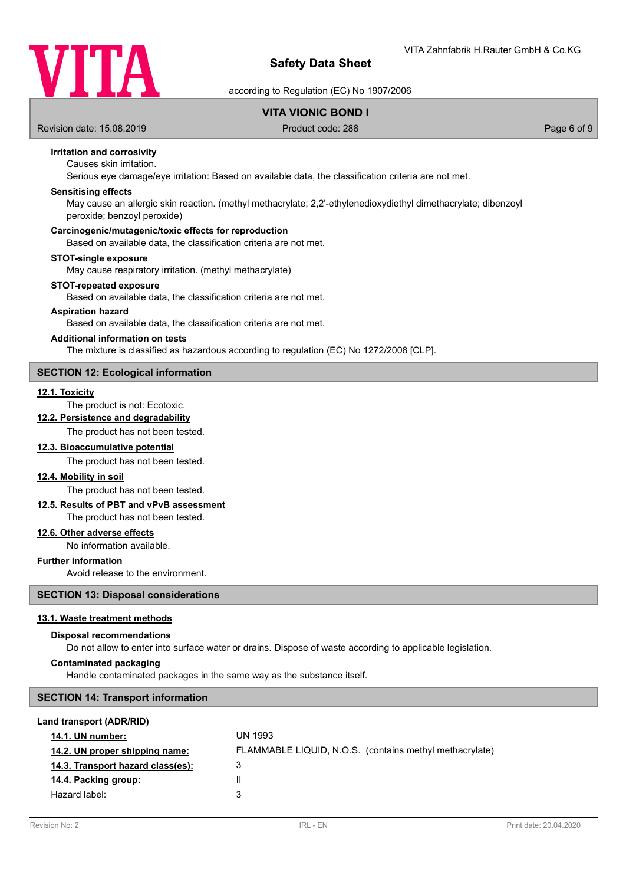

according to Regulation (EC) No 1907/2006

## **VITA VIONIC BOND I**

Revision date: 15.08.2019 **Product code: 288** Page 6 of 9

## **Irritation and corrosivity**

## Causes skin irritation.

Serious eye damage/eye irritation: Based on available data, the classification criteria are not met.

#### **Sensitising effects**

May cause an allergic skin reaction. (methyl methacrylate; 2,2'-ethylenedioxydiethyl dimethacrylate; dibenzoyl peroxide; benzoyl peroxide)

#### **Carcinogenic/mutagenic/toxic effects for reproduction**

Based on available data, the classification criteria are not met.

#### **STOT-single exposure**

May cause respiratory irritation. (methyl methacrylate)

#### **STOT-repeated exposure**

Based on available data, the classification criteria are not met.

### **Aspiration hazard**

Based on available data, the classification criteria are not met.

#### **Additional information on tests**

The mixture is classified as hazardous according to regulation (EC) No 1272/2008 [CLP].

#### **SECTION 12: Ecological information**

### **12.1. Toxicity**

### The product is not: Ecotoxic.

### **12.2. Persistence and degradability**

The product has not been tested.

### **12.3. Bioaccumulative potential**

The product has not been tested.

### **12.4. Mobility in soil**

The product has not been tested.

## **12.5. Results of PBT and vPvB assessment**

The product has not been tested.

#### **12.6. Other adverse effects**

No information available.

### **Further information**

Avoid release to the environment.

## **SECTION 13: Disposal considerations**

#### **13.1. Waste treatment methods**

#### **Disposal recommendations**

Do not allow to enter into surface water or drains. Dispose of waste according to applicable legislation.

#### **Contaminated packaging**

Handle contaminated packages in the same way as the substance itself.

## **SECTION 14: Transport information**

#### **Land transport (ADR/RID)**

| <b>14.1. UN number:</b>           | UN 1993                                                 |
|-----------------------------------|---------------------------------------------------------|
| 14.2. UN proper shipping name:    | FLAMMABLE LIQUID, N.O.S. (contains methyl methacrylate) |
| 14.3. Transport hazard class(es): | 3                                                       |
| 14.4. Packing group:              |                                                         |
| Hazard label:                     | 3                                                       |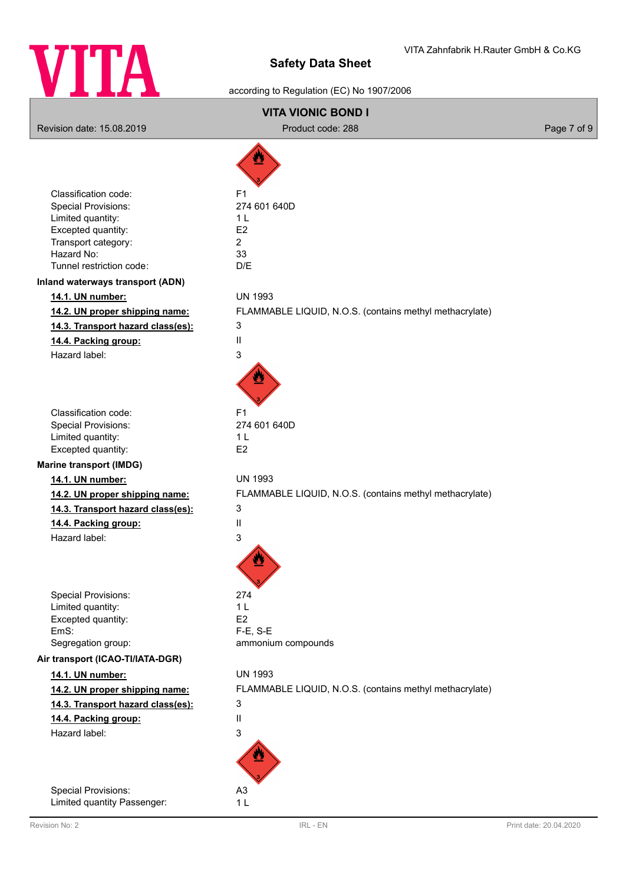

## according to Regulation (EC) No 1907/2006

# **VITA VIONIC BOND I** Revision date: 15.08.2019 **Product code: 288** Product code: 288 Page 7 of 9 Classification code: F1 Special Provisions: 274 601 640D Limited quantity: 1 L Excepted quantity: E2 Transport category: 2 Hazard No: 33 Tunnel restriction code: D/E **Inland waterways transport (ADN) 14.1. UN number:** UN 1993 **14.2. UN proper shipping name:** FLAMMABLE LIQUID, N.O.S. (contains methyl methacrylate) **14.3. Transport hazard class(es):** 3 **14.4. Packing group:** II Hazard label: 3 Classification code: F1 Special Provisions: 274 601 640D Limited quantity: 1 L Excepted quantity: E2 **Marine transport (IMDG) 14.1. UN number:** UN 1993 **14.2. UN proper shipping name:** FLAMMABLE LIQUID, N.O.S. (contains methyl methacrylate) **14.3. Transport hazard class(es):** 3 **14.4. Packing group:** II Hazard label: 3 Special Provisions: 274 Limited quantity: 1 L Excepted quantity: E2 EmS: F-E, S-E Segregation group: ammonium compounds **Air transport (ICAO-TI/IATA-DGR) 14.1. UN number:** UN 1993 **14.2. UN proper shipping name:** FLAMMABLE LIQUID, N.O.S. (contains methyl methacrylate) **14.3. Transport hazard class(es):** 3 **14.4. Packing group:** II Hazard label: 3 Special Provisions: A3

Limited quantity Passenger: 1 L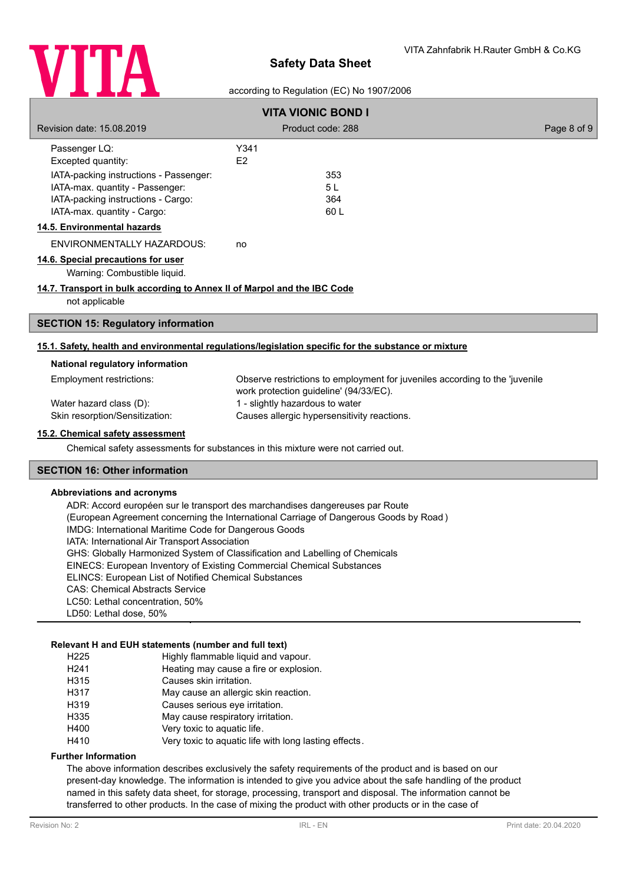

### according to Regulation (EC) No 1907/2006

| <b>VITA VIONIC BOND I</b>                                                |                                                                                                                       |             |  |
|--------------------------------------------------------------------------|-----------------------------------------------------------------------------------------------------------------------|-------------|--|
| Revision date: 15.08.2019                                                | Product code: 288                                                                                                     | Page 8 of 9 |  |
| Passenger LQ:                                                            | Y341                                                                                                                  |             |  |
| Excepted quantity:                                                       | E2                                                                                                                    |             |  |
| IATA-packing instructions - Passenger:                                   | 353                                                                                                                   |             |  |
| IATA-max. quantity - Passenger:                                          | 5L                                                                                                                    |             |  |
| IATA-packing instructions - Cargo:                                       | 364                                                                                                                   |             |  |
| IATA-max. quantity - Cargo:                                              | 60L                                                                                                                   |             |  |
| 14.5. Environmental hazards                                              |                                                                                                                       |             |  |
| ENVIRONMENTALLY HAZARDOUS:                                               | no                                                                                                                    |             |  |
| 14.6. Special precautions for user                                       |                                                                                                                       |             |  |
| Warning: Combustible liquid.                                             |                                                                                                                       |             |  |
| 14.7. Transport in bulk according to Annex II of Marpol and the IBC Code |                                                                                                                       |             |  |
| not applicable                                                           |                                                                                                                       |             |  |
| <b>SECTION 15: Regulatory information</b>                                |                                                                                                                       |             |  |
|                                                                          | 15.1. Safety, health and environmental regulations/legislation specific for the substance or mixture                  |             |  |
| National regulatory information                                          |                                                                                                                       |             |  |
| Employment restrictions:                                                 | Observe restrictions to employment for juveniles according to the 'juvenile<br>work protection guideline' (94/33/EC). |             |  |
| Water hazard class (D):                                                  | 1 - slightly hazardous to water                                                                                       |             |  |
| Skin resorption/Sensitization:                                           | Causes allergic hypersensitivity reactions.                                                                           |             |  |
| 15.2. Chemical safety assessment                                         |                                                                                                                       |             |  |
|                                                                          | Chemical safety assessments for substances in this mixture were not carried out.                                      |             |  |
| <b>SECTION 16: Other information</b>                                     |                                                                                                                       |             |  |

#### **Abbreviations and acronyms**

ADR: Accord européen sur le transport des marchandises dangereuses par Route (European Agreement concerning the International Carriage of Dangerous Goods by Road ) IMDG: International Maritime Code for Dangerous Goods IATA: International Air Transport Association GHS: Globally Harmonized System of Classification and Labelling of Chemicals EINECS: European Inventory of Existing Commercial Chemical Substances ELINCS: European List of Notified Chemical Substances CAS: Chemical Abstracts Service LC50: Lethal concentration, 50% LD50: Lethal dose, 50%

### **Relevant H and EUH statements (number and full text)**

| H <sub>225</sub> | Highly flammable liquid and vapour.                   |
|------------------|-------------------------------------------------------|
| H <sub>241</sub> | Heating may cause a fire or explosion.                |
| H315             | Causes skin irritation.                               |
| H317             | May cause an allergic skin reaction.                  |
| H319             | Causes serious eye irritation.                        |
| H335             | May cause respiratory irritation.                     |
| H400             | Very toxic to aquatic life.                           |
| H410             | Very toxic to aquatic life with long lasting effects. |

#### **Further Information**

The above information describes exclusively the safety requirements of the product and is based on our present-day knowledge. The information is intended to give you advice about the safe handling of the product named in this safety data sheet, for storage, processing, transport and disposal. The information cannot be transferred to other products. In the case of mixing the product with other products or in the case of